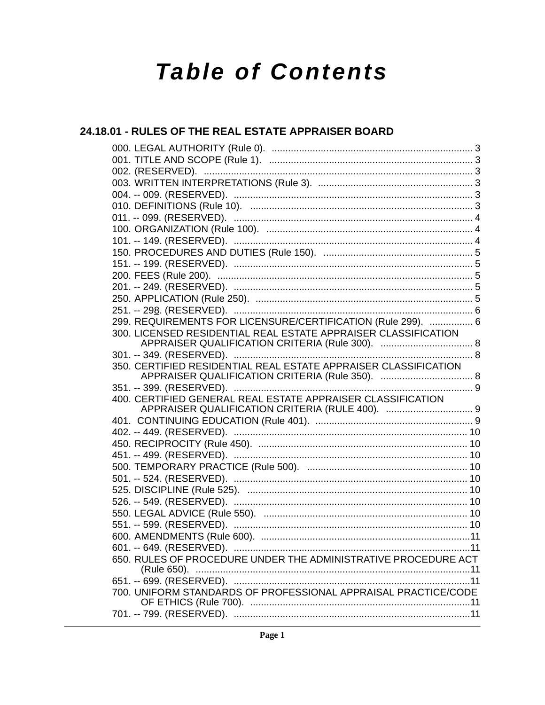# **Table of Contents**

## 24.18.01 - RULES OF THE REAL ESTATE APPRAISER BOARD

| 299. REQUIREMENTS FOR LICENSURE/CERTIFICATION (Rule 299).  6    |  |
|-----------------------------------------------------------------|--|
| 300. LICENSED RESIDENTIAL REAL ESTATE APPRAISER CLASSIFICATION  |  |
|                                                                 |  |
| 350. CERTIFIED RESIDENTIAL REAL ESTATE APPRAISER CLASSIFICATION |  |
|                                                                 |  |
|                                                                 |  |
| 400. CERTIFIED GENERAL REAL ESTATE APPRAISER CLASSIFICATION     |  |
|                                                                 |  |
|                                                                 |  |
|                                                                 |  |
|                                                                 |  |
|                                                                 |  |
|                                                                 |  |
|                                                                 |  |
|                                                                 |  |
|                                                                 |  |
|                                                                 |  |
|                                                                 |  |
|                                                                 |  |
|                                                                 |  |
| 650. RULES OF PROCEDURE UNDER THE ADMINISTRATIVE PROCEDURE ACT  |  |
|                                                                 |  |
| 700. UNIFORM STANDARDS OF PROFESSIONAL APPRAISAL PRACTICE/CODE  |  |
|                                                                 |  |
|                                                                 |  |
|                                                                 |  |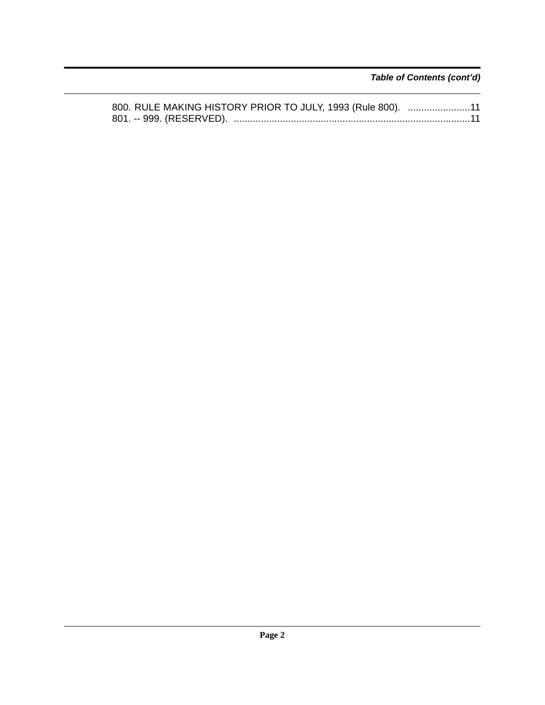*Table of Contents (cont'd)*

| 800. RULE MAKING HISTORY PRIOR TO JULY, 1993 (Rule 800). 11 |  |
|-------------------------------------------------------------|--|
|                                                             |  |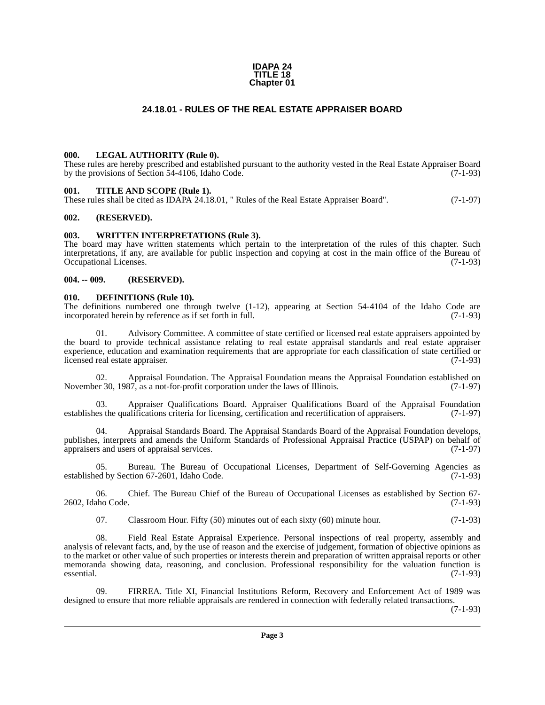#### **IDAPA 24 TITLE 18 Chapter 01**

### **24.18.01 - RULES OF THE REAL ESTATE APPRAISER BOARD**

#### <span id="page-2-1"></span><span id="page-2-0"></span>**000. LEGAL AUTHORITY (Rule 0).**

These rules are hereby prescribed and established pursuant to the authority vested in the Real Estate Appraiser Board by the provisions of Section 54-4106, Idaho Code. (7-1-93)

#### <span id="page-2-2"></span>**001. TITLE AND SCOPE (Rule 1).**

These rules shall be cited as IDAPA 24.18.01, " Rules of the Real Estate Appraiser Board". (7-1-97)

#### <span id="page-2-3"></span>**002. (RESERVED).**

#### <span id="page-2-4"></span>**003. WRITTEN INTERPRETATIONS (Rule 3).**

The board may have written statements which pertain to the interpretation of the rules of this chapter. Such interpretations, if any, are available for public inspection and copying at cost in the main office of the Bureau of Occupational Licenses. (7-1-93)

#### <span id="page-2-5"></span>**004. -- 009. (RESERVED).**

#### <span id="page-2-6"></span>**010. DEFINITIONS (Rule 10).**

The definitions numbered one through twelve  $(1-12)$ , appearing at Section 54-4104 of the Idaho Code are incorporated herein by reference as if set forth in full.  $(7-1-93)$ incorporated herein by reference as if set forth in full.

Advisory Committee. A committee of state certified or licensed real estate appraisers appointed by the board to provide technical assistance relating to real estate appraisal standards and real estate appraiser experience, education and examination requirements that are appropriate for each classification of state certified or licensed real estate appraiser. (7-1-93)

02. Appraisal Foundation. The Appraisal Foundation means the Appraisal Foundation established on November 30, 1987, as a not-for-profit corporation under the laws of Illinois. (7-1-97)

03. Appraiser Qualifications Board. Appraiser Qualifications Board of the Appraisal Foundation es the qualifications criteria for licensing, certification and recertification of appraisers. (7-1-97) establishes the qualifications criteria for licensing, certification and recertification of appraisers.

04. Appraisal Standards Board. The Appraisal Standards Board of the Appraisal Foundation develops, publishes, interprets and amends the Uniform Standards of Professional Appraisal Practice (USPAP) on behalf of appraisers and users of appraisal services. (7-1-97) appraisers and users of appraisal services.

05. Bureau. The Bureau of Occupational Licenses, Department of Self-Governing Agencies as established by Section 67-2601, Idaho Code. (7-1-93)

06. Chief. The Bureau Chief of the Bureau of Occupational Licenses as established by Section 67- 2602, Idaho Code. (7-1-93)

07. Classroom Hour. Fifty (50) minutes out of each sixty (60) minute hour. (7-1-93)

08. Field Real Estate Appraisal Experience. Personal inspections of real property, assembly and analysis of relevant facts, and, by the use of reason and the exercise of judgement, formation of objective opinions as to the market or other value of such properties or interests therein and preparation of written appraisal reports or other memoranda showing data, reasoning, and conclusion. Professional responsibility for the valuation function is essential. (7-1-93)  $e$ ssential.  $(7-1-93)$ 

09. FIRREA. Title XI, Financial Institutions Reform, Recovery and Enforcement Act of 1989 was designed to ensure that more reliable appraisals are rendered in connection with federally related transactions.

(7-1-93)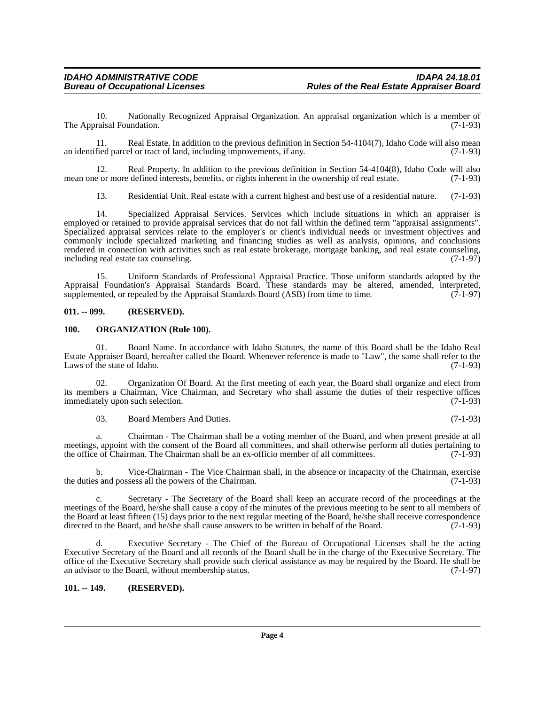10. Nationally Recognized Appraisal Organization. An appraisal organization which is a member of raisal Foundation. (7-1-93) The Appraisal Foundation.

11. Real Estate. In addition to the previous definition in Section 54-4104(7), Idaho Code will also mean fied parcel or tract of land, including improvements, if any. (7-1-93) an identified parcel or tract of land, including improvements, if any.

12. Real Property. In addition to the previous definition in Section 54-4104(8), Idaho Code will also e or more defined interests, benefits, or rights inherent in the ownership of real estate. (7-1-93) mean one or more defined interests, benefits, or rights inherent in the ownership of real estate.

13. Residential Unit. Real estate with a current highest and best use of a residential nature. (7-1-93)

14. Specialized Appraisal Services. Services which include situations in which an appraiser is employed or retained to provide appraisal services that do not fall within the defined term "appraisal assignments". Specialized appraisal services relate to the employer's or client's individual needs or investment objectives and commonly include specialized marketing and financing studies as well as analysis, opinions, and conclusions rendered in connection with activities such as real estate brokerage, mortgage banking, and real estate counseling, including real estate tax counseling. including real estate tax counseling.

15. Uniform Standards of Professional Appraisal Practice. Those uniform standards adopted by the Appraisal Foundation's Appraisal Standards Board. These standards may be altered, amended, interpreted, supplemented, or repealed by the Appraisal Standards Board (ASB) from time to time. (7-1-97) supplemented, or repealed by the Appraisal Standards Board  $(ASB)$  from time to time.

#### <span id="page-3-0"></span>**011. -- 099. (RESERVED).**

#### <span id="page-3-1"></span>**100. ORGANIZATION (Rule 100).**

01. Board Name. In accordance with Idaho Statutes, the name of this Board shall be the Idaho Real Estate Appraiser Board, hereafter called the Board. Whenever reference is made to "Law", the same shall refer to the Laws of the state of Idaho.

02. Organization Of Board. At the first meeting of each year, the Board shall organize and elect from its members a Chairman, Vice Chairman, and Secretary who shall assume the duties of their respective offices immediately upon such selection.

03. Board Members And Duties. (7-1-93)

a. Chairman - The Chairman shall be a voting member of the Board, and when present preside at all meetings, appoint with the consent of the Board all committees, and shall otherwise perform all duties pertaining to the office of Chairman. The Chairman shall be an ex-officio member of all committees. (7-1-93) the office of Chairman. The Chairman shall be an ex-officio member of all committees.

b. Vice-Chairman - The Vice Chairman shall, in the absence or incapacity of the Chairman, exercise the duties and possess all the powers of the Chairman. (7-1-93)

c. Secretary - The Secretary of the Board shall keep an accurate record of the proceedings at the meetings of the Board, he/she shall cause a copy of the minutes of the previous meeting to be sent to all members of the Board at least fifteen (15) days prior to the next regular meeting of the Board, he/she shall receive correspondence directed to the Board, and he/she shall cause answers to be written in behalf of the Board. (7-1-93)

Executive Secretary - The Chief of the Bureau of Occupational Licenses shall be the acting Executive Secretary of the Board and all records of the Board shall be in the charge of the Executive Secretary. The office of the Executive Secretary shall provide such clerical assistance as may be required by the Board. He shall be an advisor to the Board, without membership status. (7-1-97) an advisor to the Board, without membership status.

### <span id="page-3-2"></span>**101. -- 149. (RESERVED).**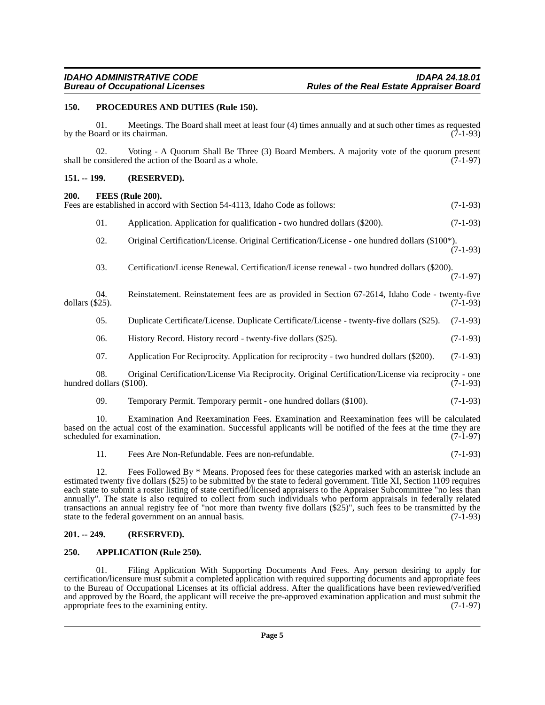#### <span id="page-4-0"></span>**150. PROCEDURES AND DUTIES (Rule 150).**

01. Meetings. The Board shall meet at least four (4) times annually and at such other times as requested oard or its chairman. by the Board or its chairman.

02. Voting - A Quorum Shall Be Three (3) Board Members. A majority vote of the quorum present considered the action of the Board as a whole. (7-1-97) shall be considered the action of the Board as a whole.

#### <span id="page-4-1"></span>**151. -- 199. (RESERVED).**

#### <span id="page-4-2"></span>**200. FEES (Rule 200).**

|                    |                                 | Fees are established in accord with Section 54-4113, Idaho Code as follows:                          | $(7-1-93)$ |
|--------------------|---------------------------------|------------------------------------------------------------------------------------------------------|------------|
|                    | 01.                             | Application. Application for qualification - two hundred dollars (\$200).                            | $(7-1-93)$ |
|                    | 02.                             | Original Certification/License. Original Certification/License - one hundred dollars (\$100*).       | $(7-1-93)$ |
|                    | 03.                             | Certification/License Renewal. Certification/License renewal - two hundred dollars (\$200).          | $(7-1-97)$ |
| dollars $(\$25)$ . | 04.                             | Reinstatement. Reinstatement fees are as provided in Section 67-2614, Idaho Code - twenty-five       | $(7-1-93)$ |
|                    | 05.                             | Duplicate Certificate/License. Duplicate Certificate/License - twenty-five dollars (\$25).           | $(7-1-93)$ |
|                    | 06.                             | History Record. History record - twenty-five dollars (\$25).                                         | $(7-1-93)$ |
|                    | 07.                             | Application For Reciprocity. Application for reciprocity - two hundred dollars (\$200).              | $(7-1-93)$ |
|                    | 08.<br>hundred dollars (\$100). | Original Certification/License Via Reciprocity. Original Certification/License via reciprocity - one | $(7-1-93)$ |
|                    | 09.                             | Temporary Permit. Temporary permit - one hundred dollars (\$100).                                    | $(7-1-93)$ |
|                    |                                 |                                                                                                      |            |

10. Examination And Reexamination Fees. Examination and Reexamination fees will be calculated based on the actual cost of the examination. Successful applicants will be notified of the fees at the time they are scheduled for examination.

11. Fees Are Non-Refundable. Fees are non-refundable. (7-1-93)

12. Fees Followed By \* Means. Proposed fees for these categories marked with an asterisk include an estimated twenty five dollars (\$25) to be submitted by the state to federal government. Title XI, Section 1109 requires each state to submit a roster listing of state certified/licensed appraisers to the Appraiser Subcommittee "no less than annually". The state is also required to collect from such individuals who perform appraisals in federally related transactions an annual registry fee of "not more than twenty five dollars  $(\$25)$ ", such fees to be transmitted by the state to the federal government on an annual basis. state to the federal government on an annual basis.

### <span id="page-4-3"></span>**201. -- 249. (RESERVED).**

### <span id="page-4-4"></span>**250. APPLICATION (Rule 250).**

01. Filing Application With Supporting Documents And Fees. Any person desiring to apply for certification/licensure must submit a completed application with required supporting documents and appropriate fees to the Bureau of Occupational Licenses at its official address. After the qualifications have been reviewed/verified and approved by the Board, the applicant will receive the pre-approved examination application and must submit the appropriate fees to the examining entity.  $(7-1-97)$ appropriate fees to the examining entity.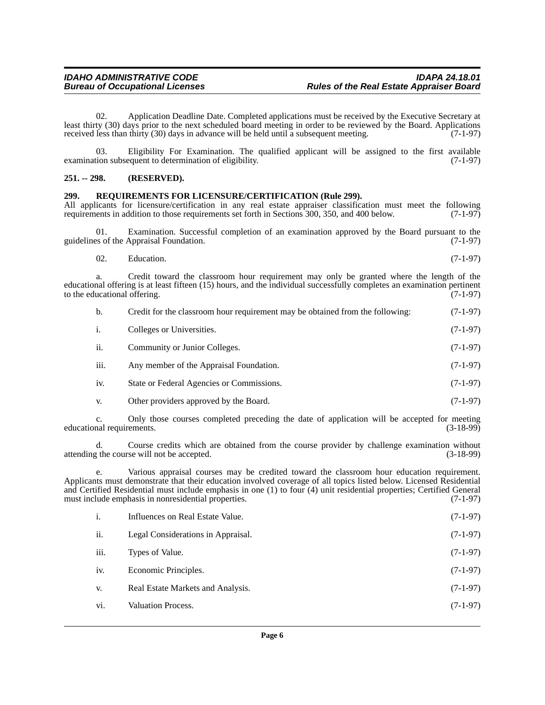02. Application Deadline Date. Completed applications must be received by the Executive Secretary at least thirty (30) days prior to the next scheduled board meeting in order to be reviewed by the Board. Applications received less than thirty (30) days in advance will be held until a subsequent meeting. (7-1-97) received less than thirty (30) days in advance will be held until a subsequent meeting.

03. Eligibility For Examination. The qualified applicant will be assigned to the first available tion subsequent to determination of eligibility.  $(7-1-97)$ examination subsequent to determination of eligibility.

#### <span id="page-5-0"></span>**251. -- 298. (RESERVED).**

#### <span id="page-5-1"></span>**299. REQUIREMENTS FOR LICENSURE/CERTIFICATION (Rule 299).**

All applicants for licensure/certification in any real estate appraiser classification must meet the following requirements in addition to those requirements set forth in Sections 300, 350, and 400 below. (7-1-97) requirements in addition to those requirements set forth in Sections 300, 350, and 400 below.

01. Examination. Successful completion of an examination approved by the Board pursuant to the es of the Appraisal Foundation. (7-1-97) guidelines of the Appraisal Foundation.

a. Credit toward the classroom hour requirement may only be granted where the length of the educational offering is at least fifteen (15) hours, and the individual successfully completes an examination pertinent to the educational offering. (7-1-97) to the educational offering.

| b.   | Credit for the classroom hour requirement may be obtained from the following: | $(7-1-97)$ |
|------|-------------------------------------------------------------------------------|------------|
| i.   | Colleges or Universities.                                                     | $(7-1-97)$ |
| ii.  | Community or Junior Colleges.                                                 | $(7-1-97)$ |
| iii. | Any member of the Appraisal Foundation.                                       | $(7-1-97)$ |
| iv.  | State or Federal Agencies or Commissions.                                     | $(7-1-97)$ |
| V.   | Other providers approved by the Board.                                        | $(7-1-97)$ |

c. Only those courses completed preceding the date of application will be accepted for meeting educational requirements.

d. Course credits which are obtained from the course provider by challenge examination without the course will not be accepted. (3-18-99) attending the course will not be accepted.

e. Various appraisal courses may be credited toward the classroom hour education requirement. Applicants must demonstrate that their education involved coverage of all topics listed below. Licensed Residential and Certified Residential must include emphasis in one (1) to four (4) unit residential properties; Certified General must include emphasis in nonresidential properties.  $(7-1-97)$ must include emphasis in nonresidential properties.

| $\mathbf{i}$ . | Influences on Real Estate Value.   | $(7-1-97)$ |
|----------------|------------------------------------|------------|
| ii.            | Legal Considerations in Appraisal. | $(7-1-97)$ |
| iii.           | Types of Value.                    | $(7-1-97)$ |
| iv.            | Economic Principles.               | $(7-1-97)$ |
| V.             | Real Estate Markets and Analysis.  | $(7-1-97)$ |
| vi.            | <b>Valuation Process.</b>          | $(7-1-97)$ |
|                |                                    |            |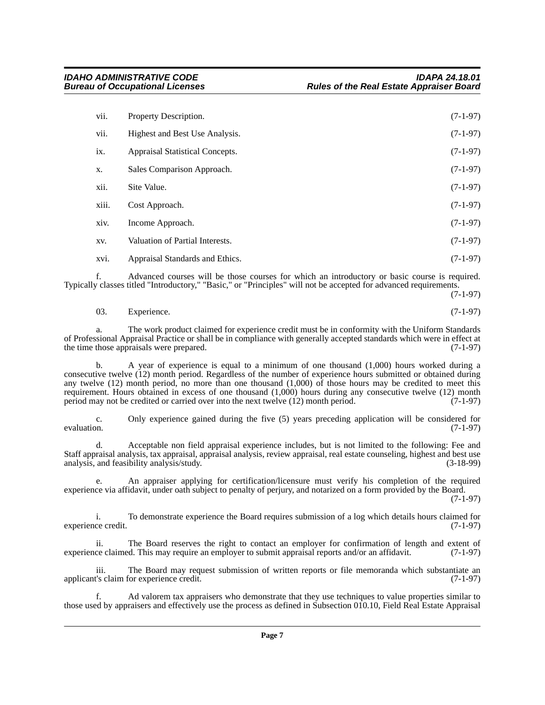| vii.  | Property Description.           | $(7-1-97)$ |
|-------|---------------------------------|------------|
| vii.  | Highest and Best Use Analysis.  | $(7-1-97)$ |
| ix.   | Appraisal Statistical Concepts. | $(7-1-97)$ |
| X.    | Sales Comparison Approach.      | $(7-1-97)$ |
| xii.  | Site Value.                     | $(7-1-97)$ |
| xiii. | Cost Approach.                  | $(7-1-97)$ |
| xiv.  | Income Approach.                | $(7-1-97)$ |
| XV.   | Valuation of Partial Interests. | $(7-1-97)$ |
| xvi.  | Appraisal Standards and Ethics. | $(7-1-97)$ |

f. Advanced courses will be those courses for which an introductory or basic course is required. Typically classes titled "Introductory," "Basic," or "Principles" will not be accepted for advanced requirements.

(7-1-97)

| 03. | Experience. | $(7-1-97)$ |
|-----|-------------|------------|
|     |             |            |

a. The work product claimed for experience credit must be in conformity with the Uniform Standards of Professional Appraisal Practice or shall be in compliance with generally accepted standards which were in effect at the time those appraisals were prepared.

b. A year of experience is equal to a minimum of one thousand (1,000) hours worked during a consecutive twelve (12) month period. Regardless of the number of experience hours submitted or obtained during any twelve (12) month period, no more than one thousand (1,000) of those hours may be credited to meet this requirement. Hours obtained in excess of one thousand (1,000) hours during any consecutive twelve (12) month period may not be credited or carried over into the next twelve (12) month period. (7-1-97)

c. Only experience gained during the five (5) years preceding application will be considered for evaluation.  $(7-1-97)$ 

d. Acceptable non field appraisal experience includes, but is not limited to the following: Fee and Staff appraisal analysis, tax appraisal, appraisal analysis, review appraisal, real estate counseling, highest and best use analysis, and feasibility analysis/study.

An appraiser applying for certification/licensure must verify his completion of the required experience via affidavit, under oath subject to penalty of perjury, and notarized on a form provided by the Board.

(7-1-97)

i. To demonstrate experience the Board requires submission of a log which details hours claimed for experience credit. (7-1-97)

ii. The Board reserves the right to contact an employer for confirmation of length and extent of ce claimed. This may require an employer to submit appraisal reports and/or an affidavit. (7-1-97) experience claimed. This may require an employer to submit appraisal reports and/or an affidavit.

iii. The Board may request submission of written reports or file memoranda which substantiate an <br>
(7-1-97) applicant's claim for experience credit.

Ad valorem tax appraisers who demonstrate that they use techniques to value properties similar to those used by appraisers and effectively use the process as defined in Subsection 010.10, Field Real Estate Appraisal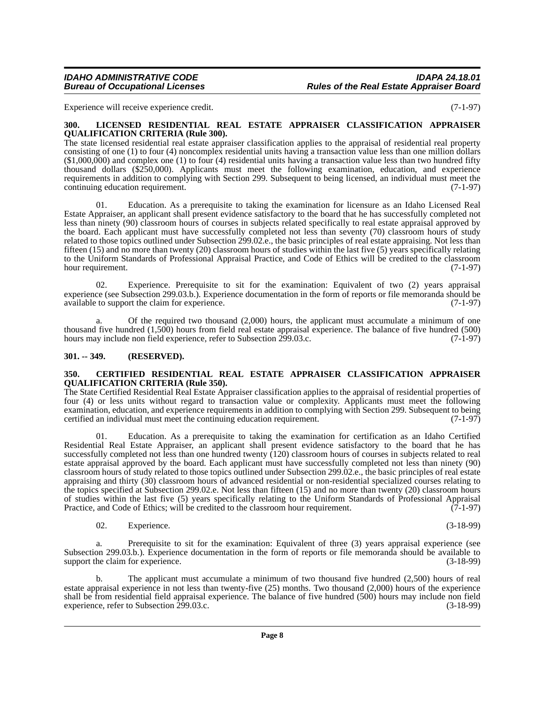#### *IDAHO ADMINISTRATIVE CODE IDAPA 24.18.01* **Rules of the Real Estate Appraiser Board**

Experience will receive experience credit. (7-1-97)

#### <span id="page-7-0"></span>**300. LICENSED RESIDENTIAL REAL ESTATE APPRAISER CLASSIFICATION APPRAISER QUALIFICATION CRITERIA (Rule 300).**

The state licensed residential real estate appraiser classification applies to the appraisal of residential real property consisting of one (1) to four (4) noncomplex residential units having a transaction value less than one million dollars  $(1,000,000)$  and complex one (1) to four (4) residential units having a transaction value less than two hundred fifty thousand dollars (\$250,000). Applicants must meet the following examination, education, and experience requirements in addition to complying with Section 299. Subsequent to being licensed, an individual must meet the continuing education requirement. (7-1-97)

01. Education. As a prerequisite to taking the examination for licensure as an Idaho Licensed Real Estate Appraiser, an applicant shall present evidence satisfactory to the board that he has successfully completed not less than ninety (90) classroom hours of courses in subjects related specifically to real estate appraisal approved by the board. Each applicant must have successfully completed not less than seventy (70) classroom hours of study related to those topics outlined under Subsection 299.02.e., the basic principles of real estate appraising. Not less than fifteen (15) and no more than twenty (20) classroom hours of studies within the last five (5) years specifically relating to the Uniform Standards of Professional Appraisal Practice, and Code of Ethics will be credited to the classroom hour requirement. (7-1-97)

02. Experience. Prerequisite to sit for the examination: Equivalent of two (2) years appraisal experience (see Subsection 299.03.b.). Experience documentation in the form of reports or file memoranda should be available to support the claim for experience. (7-1-97) available to support the claim for experience.

a. Of the required two thousand (2,000) hours, the applicant must accumulate a minimum of one thousand five hundred (1,500) hours from field real estate appraisal experience. The balance of five hundred (500) hours may include non field experience, refer to Subsection 299.03.c. (7-1-97) hours may include non field experience, refer to Subsection 299.03.c.

#### <span id="page-7-1"></span>**301. -- 349. (RESERVED).**

#### <span id="page-7-2"></span>**350. CERTIFIED RESIDENTIAL REAL ESTATE APPRAISER CLASSIFICATION APPRAISER QUALIFICATION CRITERIA (Rule 350).**

The State Certified Residential Real Estate Appraiser classification applies to the appraisal of residential properties of four (4) or less units without regard to transaction value or complexity. Applicants must meet the following examination, education, and experience requirements in addition to complying with Section 299. Subsequent to being certified an individual must meet the continuing education requirement. (7-1-97) certified an individual must meet the continuing education requirement.

01. Education. As a prerequisite to taking the examination for certification as an Idaho Certified Residential Real Estate Appraiser, an applicant shall present evidence satisfactory to the board that he has successfully completed not less than one hundred twenty (120) classroom hours of courses in subjects related to real estate appraisal approved by the board. Each applicant must have successfully completed not less than ninety (90) classroom hours of study related to those topics outlined under Subsection 299.02.e., the basic principles of real estate appraising and thirty (30) classroom hours of advanced residential or non-residential specialized courses relating to the topics specified at Subsection 299.02.e. Not less than fifteen (15) and no more than twenty (20) classroom hours of studies within the last five (5) years specifically relating to the Uniform Standards of Professional Appraisal<br>Practice, and Code of Ethics: will be credited to the classroom hour requirement. (7-1-97) Practice, and Code of Ethics; will be credited to the classroom hour requirement.

02. Experience. (3-18-99)

a. Prerequisite to sit for the examination: Equivalent of three (3) years appraisal experience (see Subsection 299.03.b.). Experience documentation in the form of reports or file memoranda should be available to support the claim for experience. (3-18-99)

b. The applicant must accumulate a minimum of two thousand five hundred (2,500) hours of real estate appraisal experience in not less than twenty-five (25) months. Two thousand (2,000) hours of the experience shall be from residential field appraisal experience. The balance of five hundred (500) hours may include non field experience, refer to Subsection 299.03.c. (3-18-99) experience, refer to Subsection 299.03.c.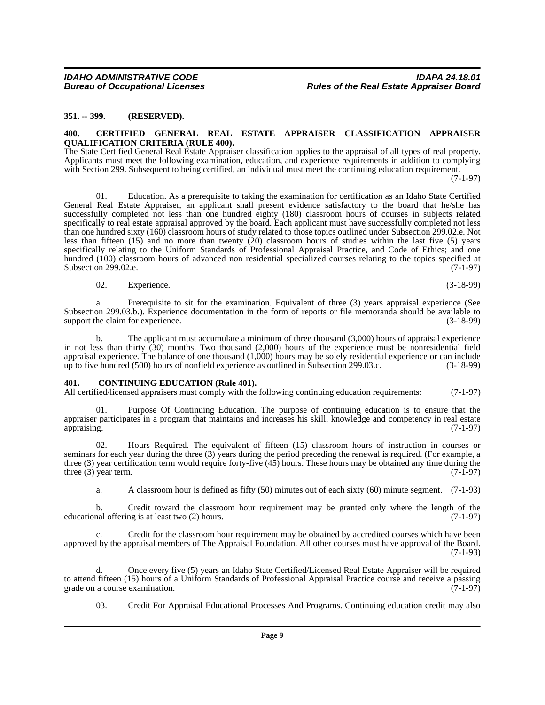#### <span id="page-8-0"></span>**351. -- 399. (RESERVED).**

#### <span id="page-8-1"></span>**400. CERTIFIED GENERAL REAL ESTATE APPRAISER CLASSIFICATION APPRAISER QUALIFICATION CRITERIA (RULE 400).**

The State Certified General Real Estate Appraiser classification applies to the appraisal of all types of real property. Applicants must meet the following examination, education, and experience requirements in addition to complying with Section 299. Subsequent to being certified, an individual must meet the continuing education requirement.

(7-1-97)

01. Education. As a prerequisite to taking the examination for certification as an Idaho State Certified General Real Estate Appraiser, an applicant shall present evidence satisfactory to the board that he/she has successfully completed not less than one hundred eighty (180) classroom hours of courses in subjects related specifically to real estate appraisal approved by the board. Each applicant must have successfully completed not less than one hundred sixty (160) classroom hours of study related to those topics outlined under Subsection 299.02.e. Not less than fifteen (15) and no more than twenty (20) classroom hours of studies within the last five (5) years specifically relating to the Uniform Standards of Professional Appraisal Practice, and Code of Ethics; and one hundred (100) classroom hours of advanced non residential specialized courses relating to the topics specified at Subsection 299.02.e. (7-1-97)

02. Experience. (3-18-99)

a. Prerequisite to sit for the examination. Equivalent of three (3) years appraisal experience (See Subsection 299.03.b.). Experience documentation in the form of reports or file memoranda should be available to support the claim for experience. support the claim for experience.

b. The applicant must accumulate a minimum of three thousand (3,000) hours of appraisal experience in not less than thirty (30) months. Two thousand (2,000) hours of the experience must be nonresidential field appraisal experience. The balance of one thousand  $(1,000)$  hours may be solely residential experience or can include up to five hundred  $(500)$  hours of nonfield experience as outlined in Subsection 299.03.c.  $(3-18-99)$ up to five hundred (500) hours of nonfield experience as outlined in Subsection 299.03.c.

#### <span id="page-8-2"></span>**401. CONTINUING EDUCATION (Rule 401).**

All certified/licensed appraisers must comply with the following continuing education requirements: (7-1-97)

01. Purpose Of Continuing Education. The purpose of continuing education is to ensure that the appraiser participates in a program that maintains and increases his skill, knowledge and competency in real estate appraising. (7-1-97) appraising. (7-1-97)

02. Hours Required. The equivalent of fifteen (15) classroom hours of instruction in courses or seminars for each year during the three (3) years during the period preceding the renewal is required. (For example, a three (3) year certification term would require forty-five (45) hours. These hours may be obtained any time during the three (3) year term.  $(7-1-97)$ three  $(3)$  year term.

a. A classroom hour is defined as fifty (50) minutes out of each sixty (60) minute segment. (7-1-93)

b. Credit toward the classroom hour requirement may be granted only where the length of the real offering is at least two  $(2)$  hours. educational offering is at least two  $(2)$  hours.

c. Credit for the classroom hour requirement may be obtained by accredited courses which have been approved by the appraisal members of The Appraisal Foundation. All other courses must have approval of the Board. (7-1-93)

d. Once every five (5) years an Idaho State Certified/Licensed Real Estate Appraiser will be required to attend fifteen (15) hours of a Uniform Standards of Professional Appraisal Practice course and receive a passing grade on a course examination. (7-1-97) grade on a course examination.

03. Credit For Appraisal Educational Processes And Programs. Continuing education credit may also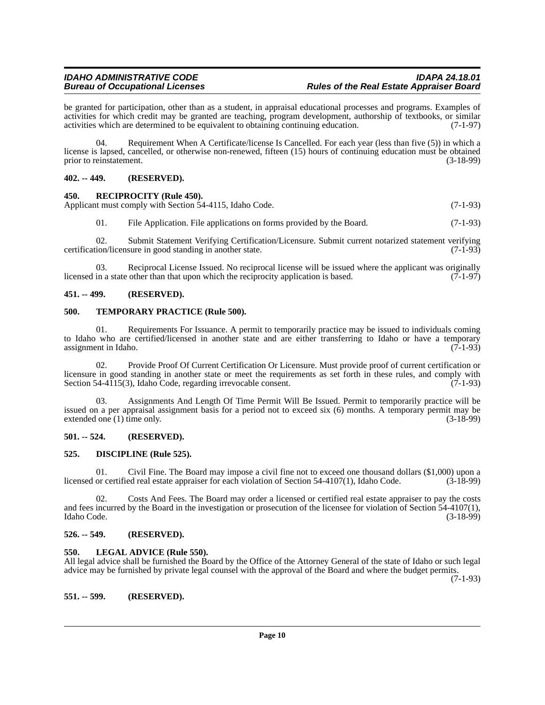be granted for participation, other than as a student, in appraisal educational processes and programs. Examples of activities for which credit may be granted are teaching, program development, authorship of textbooks, or similar activities which are determined to be equivalent to obtaining continuing education. (7-1-97)

04. Requirement When A Certificate/license Is Cancelled. For each year (less than five (5)) in which a license is lapsed, cancelled, or otherwise non-renewed, fifteen (15) hours of continuing education must be obtained<br>(3-18-99) (3-18-99) prior to reinstatement.

### <span id="page-9-0"></span>**402. -- 449. (RESERVED).**

#### <span id="page-9-1"></span>**450. RECIPROCITY (Rule 450).**

Applicant must comply with Section 54-4115, Idaho Code. (7-1-93)

01. File Application. File applications on forms provided by the Board. (7-1-93)

02. Submit Statement Verifying Certification/Licensure. Submit current notarized statement verifying ion/licensure in good standing in another state. (7-1-93) certification/licensure in good standing in another state.

03. Reciprocal License Issued. No reciprocal license will be issued where the applicant was originally in a state other than that upon which the reciprocity application is based.  $(7-1-97)$ licensed in a state other than that upon which the reciprocity application is based.

### <span id="page-9-2"></span>**451. -- 499. (RESERVED).**

#### <span id="page-9-3"></span>**500. TEMPORARY PRACTICE (Rule 500).**

01. Requirements For Issuance. A permit to temporarily practice may be issued to individuals coming to Idaho who are certified/licensed in another state and are either transferring to Idaho or have a temporary<br>assignment in Idaho. (7-1-93) assignment in Idaho.

02. Provide Proof Of Current Certification Or Licensure. Must provide proof of current certification or licensure in good standing in another state or meet the requirements as set forth in these rules, and comply with Section 54-4115(3), Idaho Code, regarding irrevocable consent. (7-1-93) Section  $54-4\overline{115(3)}$ , Idaho Code, regarding irrevocable consent.

03. Assignments And Length Of Time Permit Will Be Issued. Permit to temporarily practice will be issued on a per appraisal assignment basis for a period not to exceed six (6) months. A temporary permit may be extended one (1) time only. (3-18-99) extended one  $(1)$  time only.

### <span id="page-9-4"></span>**501. -- 524. (RESERVED).**

#### <span id="page-9-5"></span>**525. DISCIPLINE (Rule 525).**

01. Civil Fine. The Board may impose a civil fine not to exceed one thousand dollars (\$1,000) upon a licensed or certified real estate appraiser for each violation of Section 54-4107(1), Idaho Code. (3-18-99)

02. Costs And Fees. The Board may order a licensed or certified real estate appraiser to pay the costs and fees incurred by the Board in the investigation or prosecution of the licensee for violation of Section 54-4107(1),<br>(3-18-99) Idaho Code. (3-18-99)

#### <span id="page-9-6"></span>**526. -- 549. (RESERVED).**

#### <span id="page-9-7"></span>**550. LEGAL ADVICE (Rule 550).**

All legal advice shall be furnished the Board by the Office of the Attorney General of the state of Idaho or such legal advice may be furnished by private legal counsel with the approval of the Board and where the budget permits.

(7-1-93)

<span id="page-9-8"></span>**551. -- 599. (RESERVED).**